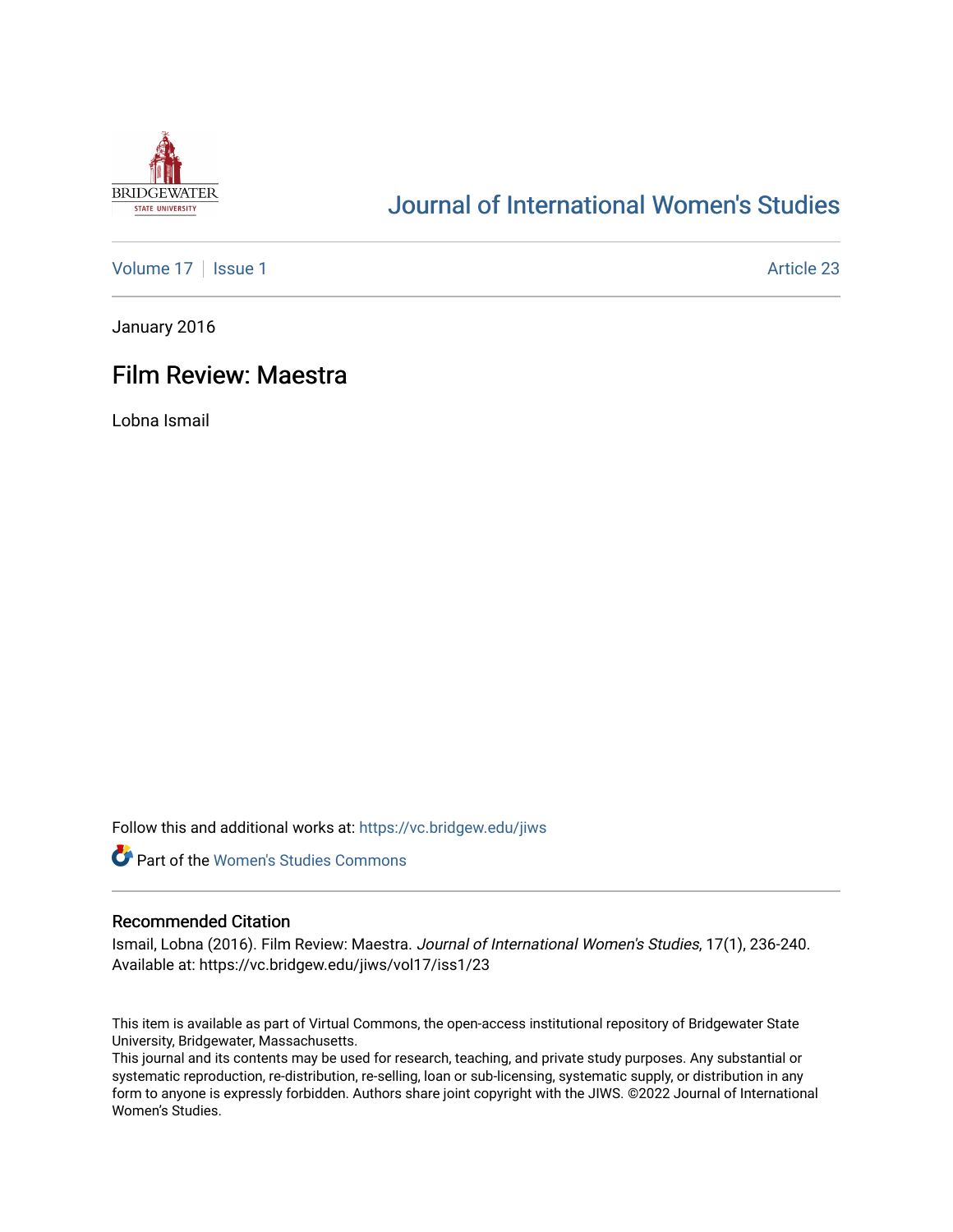

# [Journal of International Women's Studies](https://vc.bridgew.edu/jiws)

[Volume 17](https://vc.bridgew.edu/jiws/vol17) | [Issue 1](https://vc.bridgew.edu/jiws/vol17/iss1) Article 23

January 2016

# Film Review: Maestra

Lobna Ismail

Follow this and additional works at: [https://vc.bridgew.edu/jiws](https://vc.bridgew.edu/jiws?utm_source=vc.bridgew.edu%2Fjiws%2Fvol17%2Fiss1%2F23&utm_medium=PDF&utm_campaign=PDFCoverPages)



# Recommended Citation

Ismail, Lobna (2016). Film Review: Maestra. Journal of International Women's Studies, 17(1), 236-240. Available at: https://vc.bridgew.edu/jiws/vol17/iss1/23

This item is available as part of Virtual Commons, the open-access institutional repository of Bridgewater State University, Bridgewater, Massachusetts.

This journal and its contents may be used for research, teaching, and private study purposes. Any substantial or systematic reproduction, re-distribution, re-selling, loan or sub-licensing, systematic supply, or distribution in any form to anyone is expressly forbidden. Authors share joint copyright with the JIWS. ©2022 Journal of International Women's Studies.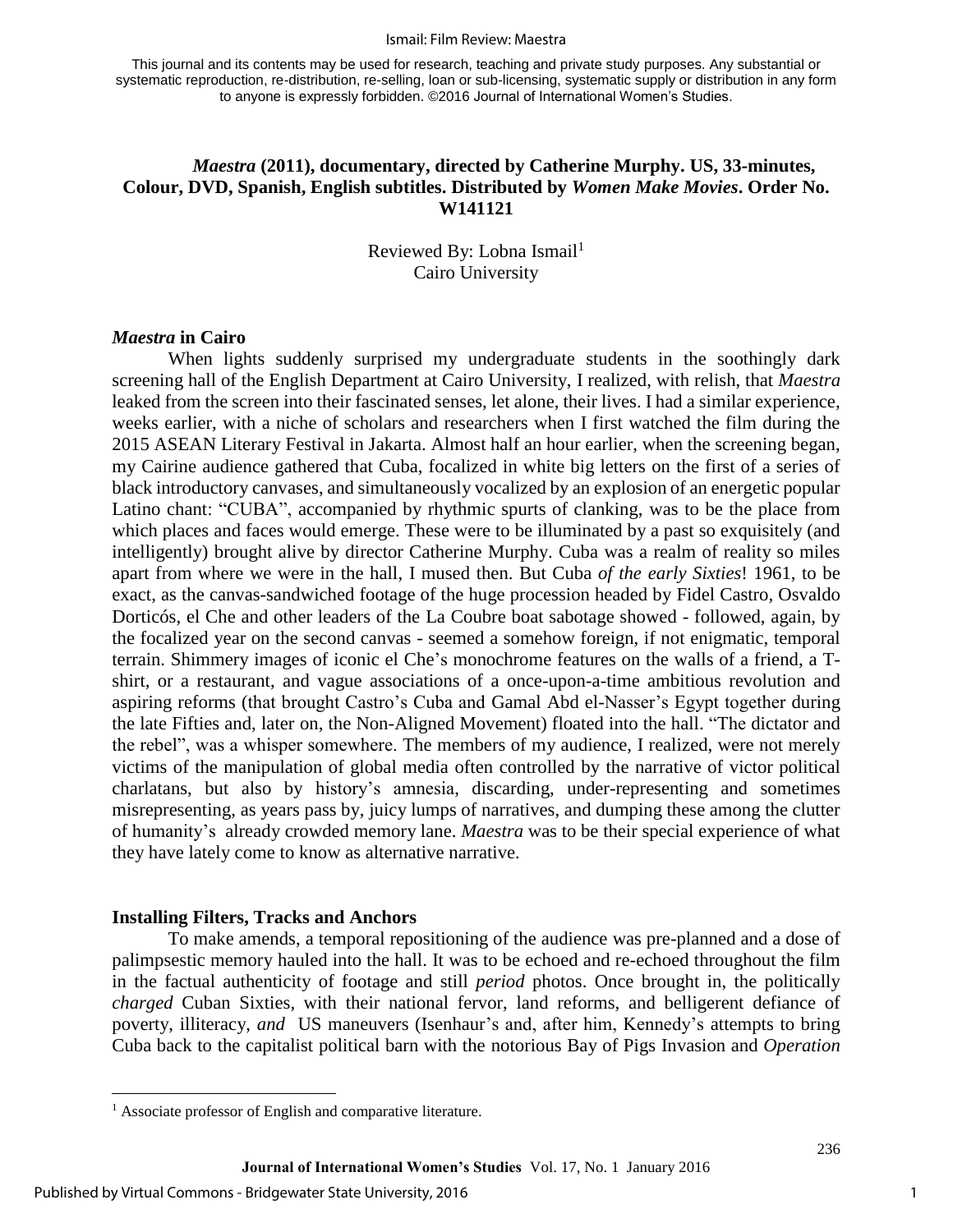#### Ismail: Film Review: Maestra

This journal and its contents may be used for research, teaching and private study purposes. Any substantial or systematic reproduction, re-distribution, re-selling, loan or sub-licensing, systematic supply or distribution in any form to anyone is expressly forbidden. ©2016 Journal of International Women's Studies.

## *Maestra* **(2011), documentary, directed by Catherine Murphy. US, 33-minutes, Colour, DVD, Spanish, English subtitles. Distributed by** *Women Make Movies***. Order No. W141121**

Reviewed By: Lobna Ismail $^1$ Cairo University

#### *Maestra* **in Cairo**

When lights suddenly surprised my undergraduate students in the soothingly dark screening hall of the English Department at Cairo University, I realized, with relish, that *Maestra*  leaked from the screen into their fascinated senses, let alone, their lives. I had a similar experience, weeks earlier, with a niche of scholars and researchers when I first watched the film during the 2015 ASEAN Literary Festival in Jakarta. Almost half an hour earlier, when the screening began, my Cairine audience gathered that Cuba, focalized in white big letters on the first of a series of black introductory canvases, and simultaneously vocalized by an explosion of an energetic popular Latino chant: "CUBA", accompanied by rhythmic spurts of clanking, was to be the place from which places and faces would emerge. These were to be illuminated by a past so exquisitely (and intelligently) brought alive by director Catherine Murphy. Cuba was a realm of reality so miles apart from where we were in the hall, I mused then. But Cuba *of the early Sixties*! 1961, to be exact, as the canvas-sandwiched footage of the huge procession headed by Fidel Castro, Osvaldo Dorticós, el Che and other leaders of the La Coubre boat sabotage showed - followed, again, by the focalized year on the second canvas - seemed a somehow foreign, if not enigmatic, temporal terrain. Shimmery images of iconic el Che's monochrome features on the walls of a friend, a Tshirt, or a restaurant, and vague associations of a once-upon-a-time ambitious revolution and aspiring reforms (that brought Castro's Cuba and Gamal Abd el-Nasser's Egypt together during the late Fifties and, later on, the Non-Aligned Movement) floated into the hall. "The dictator and the rebel", was a whisper somewhere. The members of my audience, I realized, were not merely victims of the manipulation of global media often controlled by the narrative of victor political charlatans, but also by history's amnesia, discarding, under-representing and sometimes misrepresenting, as years pass by, juicy lumps of narratives, and dumping these among the clutter of humanity's already crowded memory lane. *Maestra* was to be their special experience of what they have lately come to know as alternative narrative.

#### **Installing Filters, Tracks and Anchors**

To make amends, a temporal repositioning of the audience was pre-planned and a dose of palimpsestic memory hauled into the hall. It was to be echoed and re-echoed throughout the film in the factual authenticity of footage and still *period* photos. Once brought in, the politically *charged* Cuban Sixties, with their national fervor, land reforms, and belligerent defiance of poverty, illiteracy, *and* US maneuvers (Isenhaur's and, after him, Kennedy's attempts to bring Cuba back to the capitalist political barn with the notorious Bay of Pigs Invasion and *Operation* 

 $\overline{\phantom{a}}$ 

<sup>&</sup>lt;sup>1</sup> Associate professor of English and comparative literature.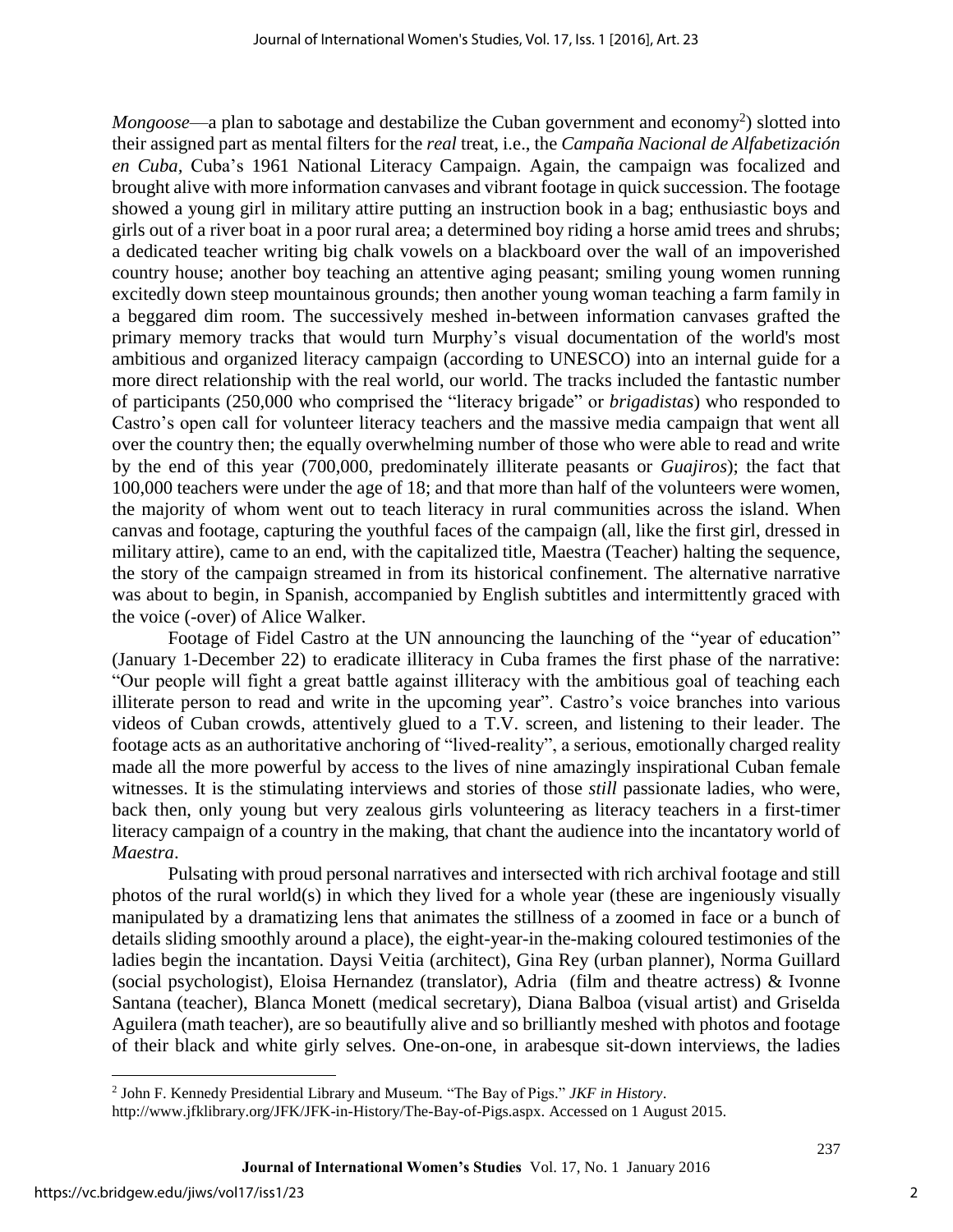Mongoose—a plan to sabotage and destabilize the Cuban government and economy<sup>2</sup>) slotted into their assigned part as mental filters for the *real* treat, i.e., the *Campaña Nacional de Alfabetización en Cuba,* Cuba's 1961 National Literacy Campaign. Again, the campaign was focalized and brought alive with more information canvases and vibrant footage in quick succession. The footage showed a young girl in military attire putting an instruction book in a bag; enthusiastic boys and girls out of a river boat in a poor rural area; a determined boy riding a horse amid trees and shrubs; a dedicated teacher writing big chalk vowels on a blackboard over the wall of an impoverished country house; another boy teaching an attentive aging peasant; smiling young women running excitedly down steep mountainous grounds; then another young woman teaching a farm family in a beggared dim room. The successively meshed in-between information canvases grafted the primary memory tracks that would turn Murphy's visual documentation of the world's most ambitious and organized literacy campaign (according to UNESCO) into an internal guide for a more direct relationship with the real world, our world. The tracks included the fantastic number of participants (250,000 who comprised the "literacy brigade" or *brigadistas*) who responded to Castro's open call for volunteer literacy teachers and the massive media campaign that went all over the country then; the equally overwhelming number of those who were able to read and write by the end of this year (700,000, predominately illiterate peasants or *Guajiros*); the fact that 100,000 teachers were under the age of 18; and that more than half of the volunteers were women, the majority of whom went out to teach literacy in rural communities across the island. When canvas and footage, capturing the youthful faces of the campaign (all, like the first girl, dressed in military attire), came to an end, with the capitalized title, Maestra (Teacher) halting the sequence, the story of the campaign streamed in from its historical confinement. The alternative narrative was about to begin, in Spanish, accompanied by English subtitles and intermittently graced with the voice (-over) of Alice Walker.

Footage of Fidel Castro at the UN announcing the launching of the "year of education" (January 1-December 22) to eradicate illiteracy in Cuba frames the first phase of the narrative: "Our people will fight a great battle against illiteracy with the ambitious goal of teaching each illiterate person to read and write in the upcoming year". Castro's voice branches into various videos of Cuban crowds, attentively glued to a T.V. screen, and listening to their leader. The footage acts as an authoritative anchoring of "lived-reality", a serious, emotionally charged reality made all the more powerful by access to the lives of nine amazingly inspirational Cuban female witnesses. It is the stimulating interviews and stories of those *still* passionate ladies, who were, back then, only young but very zealous girls volunteering as literacy teachers in a first-timer literacy campaign of a country in the making, that chant the audience into the incantatory world of *Maestra*.

Pulsating with proud personal narratives and intersected with rich archival footage and still photos of the rural world(s) in which they lived for a whole year (these are ingeniously visually manipulated by a dramatizing lens that animates the stillness of a zoomed in face or a bunch of details sliding smoothly around a place), the eight-year-in the-making coloured testimonies of the ladies begin the incantation. Daysi Veitia (architect), Gina Rey (urban planner), Norma Guillard (social psychologist), Eloisa Hernandez (translator), Adria (film and theatre actress) & Ivonne Santana (teacher), Blanca Monett (medical secretary), Diana Balboa (visual artist) and Griselda Aguilera (math teacher), are so beautifully alive and so brilliantly meshed with photos and footage of their black and white girly selves. One-on-one, in arabesque sit-down interviews, the ladies

 $\overline{\phantom{a}}$ 

<sup>2</sup> John F. Kennedy Presidential Library and Museum. "The Bay of Pigs." *JKF in History*.

http://www.jfklibrary.org/JFK/JFK-in-History/The-Bay-of-Pigs.aspx. Accessed on 1 August 2015.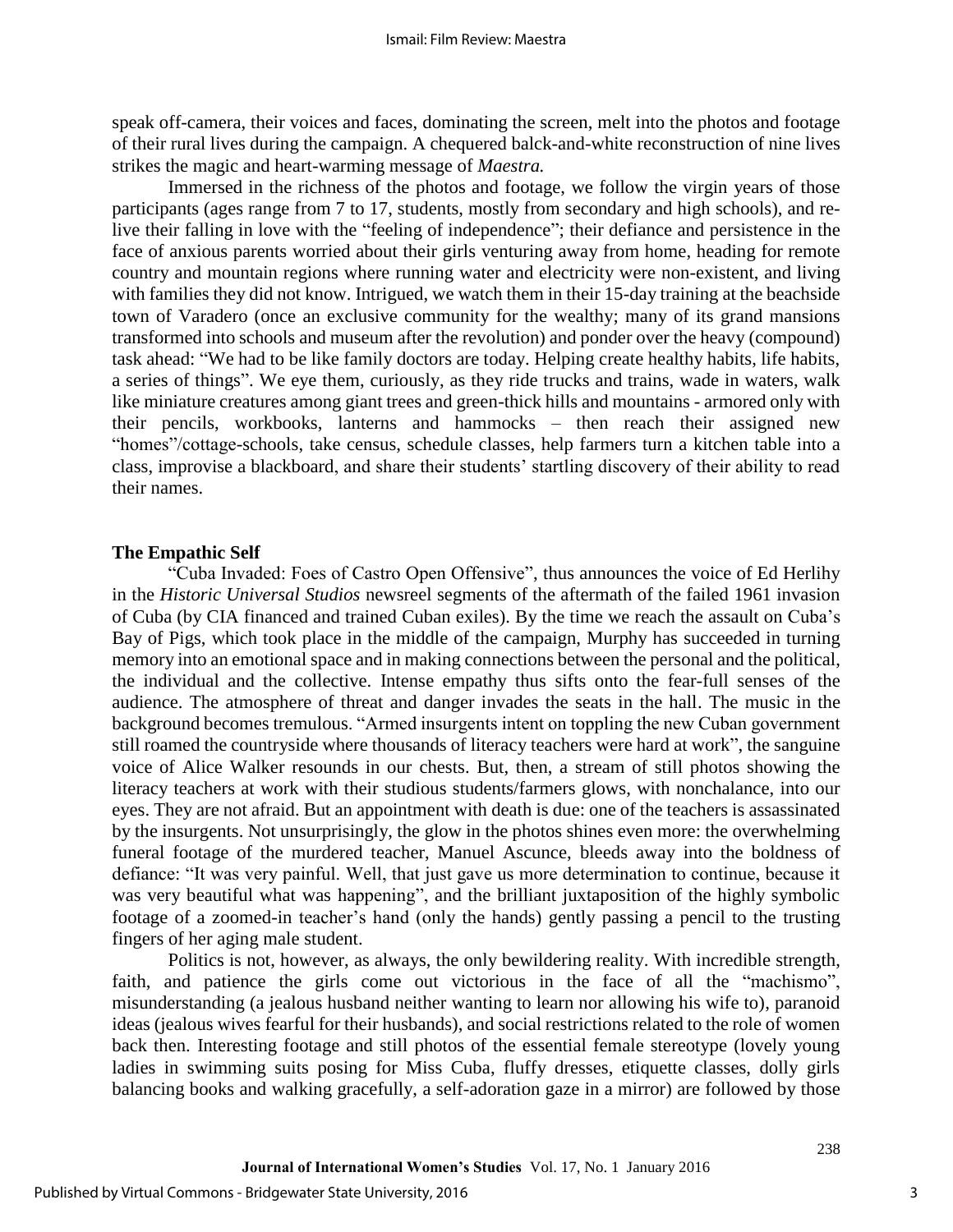speak off-camera, their voices and faces, dominating the screen, melt into the photos and footage of their rural lives during the campaign. A chequered balck-and-white reconstruction of nine lives strikes the magic and heart-warming message of *Maestra.*

Immersed in the richness of the photos and footage, we follow the virgin years of those participants (ages range from 7 to 17, students, mostly from secondary and high schools), and relive their falling in love with the "feeling of independence"; their defiance and persistence in the face of anxious parents worried about their girls venturing away from home, heading for remote country and mountain regions where running water and electricity were non-existent, and living with families they did not know. Intrigued, we watch them in their 15-day training at the beachside town of Varadero (once an exclusive community for the wealthy; many of its grand mansions transformed into schools and museum after the revolution) and ponder over the heavy (compound) task ahead: "We had to be like family doctors are today. Helping create healthy habits, life habits, a series of things". We eye them, curiously, as they ride trucks and trains, wade in waters, walk like miniature creatures among giant trees and green-thick hills and mountains - armored only with their pencils, workbooks, lanterns and hammocks – then reach their assigned new "homes"/cottage-schools, take census, schedule classes, help farmers turn a kitchen table into a class, improvise a blackboard, and share their students' startling discovery of their ability to read their names.

### **The Empathic Self**

"Cuba Invaded: Foes of Castro Open Offensive", thus announces the voice of Ed Herlihy in the *Historic Universal Studios* newsreel segments of the aftermath of the failed 1961 invasion of Cuba (by CIA financed and trained Cuban exiles). By the time we reach the assault on Cuba's Bay of Pigs, which took place in the middle of the campaign, Murphy has succeeded in turning memory into an emotional space and in making connections between the personal and the political, the individual and the collective. Intense empathy thus sifts onto the fear-full senses of the audience. The atmosphere of threat and danger invades the seats in the hall. The music in the background becomes tremulous. "Armed insurgents intent on toppling the new Cuban government still roamed the countryside where thousands of literacy teachers were hard at work", the sanguine voice of Alice Walker resounds in our chests. But, then, a stream of still photos showing the literacy teachers at work with their studious students/farmers glows, with nonchalance, into our eyes. They are not afraid. But an appointment with death is due: one of the teachers is assassinated by the insurgents. Not unsurprisingly, the glow in the photos shines even more: the overwhelming funeral footage of the murdered teacher, Manuel Ascunce, bleeds away into the boldness of defiance: "It was very painful. Well, that just gave us more determination to continue, because it was very beautiful what was happening", and the brilliant juxtaposition of the highly symbolic footage of a zoomed-in teacher's hand (only the hands) gently passing a pencil to the trusting fingers of her aging male student.

Politics is not, however, as always, the only bewildering reality. With incredible strength, faith, and patience the girls come out victorious in the face of all the "machismo", misunderstanding (a jealous husband neither wanting to learn nor allowing his wife to), paranoid ideas (jealous wives fearful for their husbands), and social restrictions related to the role of women back then. Interesting footage and still photos of the essential female stereotype (lovely young ladies in swimming suits posing for Miss Cuba, fluffy dresses, etiquette classes, dolly girls balancing books and walking gracefully, a self-adoration gaze in a mirror) are followed by those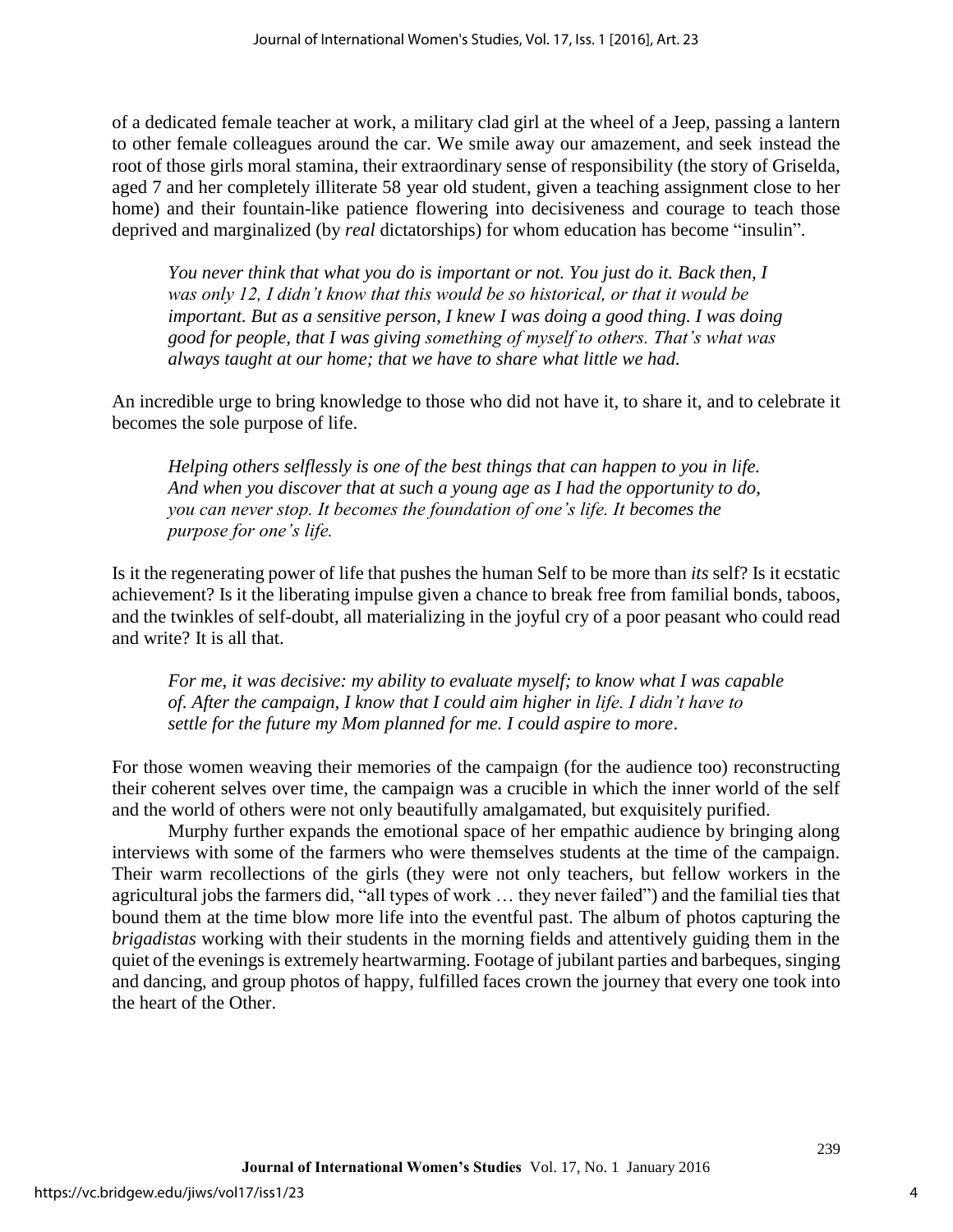of a dedicated female teacher at work, a military clad girl at the wheel of a Jeep, passing a lantern to other female colleagues around the car. We smile away our amazement, and seek instead the root of those girls moral stamina, their extraordinary sense of responsibility (the story of Griselda, aged 7 and her completely illiterate 58 year old student, given a teaching assignment close to her home) and their fountain-like patience flowering into decisiveness and courage to teach those deprived and marginalized (by *real* dictatorships) for whom education has become "insulin".

*You never think that what you do is important or not. You just do it. Back then, I was only 12, I didn't know that this would be so historical, or that it would be important. But as a sensitive person, I knew I was doing a good thing. I was doing good for people, that I was giving something of myself to others. That's what was always taught at our home; that we have to share what little we had.* 

An incredible urge to bring knowledge to those who did not have it, to share it, and to celebrate it becomes the sole purpose of life.

*Helping others selflessly is one of the best things that can happen to you in life. And when you discover that at such a young age as I had the opportunity to do, you can never stop. It becomes the foundation of one's life. It becomes the purpose for one's life.*

Is it the regenerating power of life that pushes the human Self to be more than *its* self? Is it ecstatic achievement? Is it the liberating impulse given a chance to break free from familial bonds, taboos, and the twinkles of self-doubt, all materializing in the joyful cry of a poor peasant who could read and write? It is all that.

*For me, it was decisive: my ability to evaluate myself; to know what I was capable of. After the campaign, I know that I could aim higher in life. I didn't have to settle for the future my Mom planned for me. I could aspire to more*.

For those women weaving their memories of the campaign (for the audience too) reconstructing their coherent selves over time, the campaign was a crucible in which the inner world of the self and the world of others were not only beautifully amalgamated, but exquisitely purified.

Murphy further expands the emotional space of her empathic audience by bringing along interviews with some of the farmers who were themselves students at the time of the campaign. Their warm recollections of the girls (they were not only teachers, but fellow workers in the agricultural jobs the farmers did, "all types of work … they never failed") and the familial ties that bound them at the time blow more life into the eventful past. The album of photos capturing the *brigadistas* working with their students in the morning fields and attentively guiding them in the quiet of the evenings is extremely heartwarming. Footage of jubilant parties and barbeques, singing and dancing, and group photos of happy, fulfilled faces crown the journey that every one took into the heart of the Other.